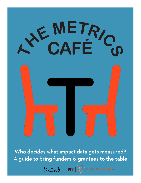

Who decides what impact data gets measured? A guide to bring funders & grantees to the table



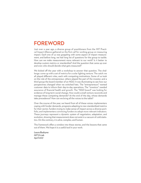# FOREWORD

Just over a year ago, a diverse group of practitioners from the MIT Practical Impact Alliance gathered on the first call for working group on measuring impact. Each one of us was grappling with some aspect of impact measurement, and before long, we had long list of questions for the group to tackle. How can we make measurement more relevant to our work? Is it better to develop custom metrics or standardize? And the question that came up over and over: who should decide what gets measured?

We kicked off the year with a workshop to answer that question. The challenge: come up with a set of metrics for a solar lighting venture. The catch: we all played different roles, each with competing motivations. Some of us took on the role of the entrepreneur, others played the part of the investor, and a third group the board member of an NGO. It was illuminating to see how our perspectives changed when we switched hats. The "entrepreneurs" wanted customer data to inform their day-to-day operations. The "investors" needed assurance of financial health and growth. The "NGO board" was looking for evidence of long-term social change. How could a small venture reconcile and manage these competing demands? At the end of the day, whose demands take precedence? How can we bring all the voices to the table?

Over the course of the year, we heard from all of these voices: implementers coping with funder demands, programs adapting to new standardized metrics for their sector, funders trying to make sense of impact across a diverse portfolio, and implementers convincing funders to adopt more relevant indicators. These journeys represent a dynamic system of negotiation, adaptation, and evolution, showing that measurement does not exist in a vacuum of cold statistics. On the contrary, it is alive, complex, and human.

This framework offers a window into these stories, and the lessons that came out of them. We hope it is a useful tool in your work.

*Laura Budzyna MIT D-Lab April 2017*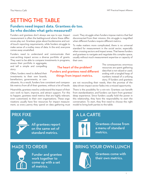# SETTING THE TABLE

# **Funders need impact data. Grantees do too. So who decides what gets measured?**

Funders and grantees don't always see eye to eye. Impact measurement is often the battleground where these differences play out. Grantees gripe about burdensome and outof-touch reporting requirements, while funders struggle to make sense of a motley mess of data. In the end, everyone comes away unsatisfied.

Funders need to understand and communicate their over-arching impact across a diverse portfolio of grants. They want to be able to compare investments in programs,

assess their portfolio in aggregate, and tell a simple and compelling story.

Often, funders need to defend their investments to their own boards, benefactors, governments, or con-

stituents. As a result, funders love consistent and comparable metrics from all of their grantees, without a lot of hassle.

Meanwhile, grantees need to understand the impact of their own work to learn, improve, and attract support. For this to happen, grantees need metrics that are highly relevant, even customized, to their own organizations. These organizations usually have few resources for impact measurement, so every penny they spend on data gathering must



All grantees report on the same set of standard metrics.



Funder and grantee work together to come up with a set of metrics.

count. They struggle when funders impose metrics that feel disconnected from their mission; this struggle is magnified when different funders require different metrics.

To make matters more complicated, there is no universal standard for measurement in the social sector, especially when crossing sectors and impact areas. That leaves funders and grantees to navigate and negotiate this complex space, usually without much measurement expertise or capacity of their own.

> The consequences: enormous resources are spent gathering data that is not valued or used, ending with a tangled heap of numbers instead of a unifying story. If funders and grantees

are not reconciling their needs, then the promise of the data-driven impact sector fades into a missed opportunity.

There is the possibility for a win-win. Grantees can benefit from standardization, and funders can learn from grantees' deep experience. Since funders usually hold the power in this relationship, they have the responsibility to start the conversation. To start, they first need to choose the right model to bring both parties to the table:



# MADE TO ORDER BRING YOUR OWN LUNCH



The heart of the problem? Funders and grantees need different things from impact metrics.

> Grantees come with their own metrics.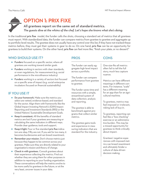# OPTION 1: PRIX FIXE All grantees report on the same set of standard metrics. *The guests dine at the whims of the chef. Let's hope she knows what she's doing.*

In the traditional prix fixe model, the funder calls the shots, choosing a standard set of metrics that all grantees must report. With standardized data, the funder can compare metrics from grantee to grantee and aggregate up to portfolio-level results. The grantee does not usually have any control over this list; if they have not tracked these metrics before, they must get their systems in gear to do so. On one hand, prix fixe can be an opportunity for grantees to build their systems. On the other hand, prix fixe can feel more like, "finish your plate, or no dessert!"

## WHO SHOULD USE IT?

- **Funders** focused on a specific sector, where all grantees are working toward similar goals
- **Funders** working in sectors with clear standards, or even regulations, for measurement (e.g. social performance in the microfinance industry)
- **Funders** working in a variety of sectors but focused on a specific area of impact (e.g. social enterprise incubators focused on financial sustainability)

# IF YOU USE IT

- **Do your homework.** Make sure the metrics you select are vetted, evidence-based, and standard for the sector. Align them with frameworks like the Global Impact Investing Network's (GIIN) Impact Reporting and Investment Standards (IRIS) or the United Nations' Sustainable Development Goals.
- Keep it consistent**.** All the benefits of standard metrics are lost if your grantees are measuring or calculating the same indicators in different ways. Provide clear guidance, tools and support.
- **Keep it light.** Four or five standard prix fixe indicators are okay. Fify are not. If you ask for too many, it becomes burdensome and can breed resentment.
- **Remember your mission.** Don't choose metrics just because they happen to be common across your grantees. Make sure they are directly related to your organization's mission and theory of change.
- Check in with grantees. Consult grantees about their experience collecting the metrics. Find out whether they are using them for other purposes in addition to reporting to your funding organization. These conversations will help the metrics evolve to be more useful to grantees in the future, or at the very least, uncover issues in your data.

# PROS

The funder can easily aggregate high-level impact across a portfolio.

The funder can compare performance from grantee to grantee.

The funder saves time and resources with a simple, streamlined system of data collection, analysis and reporting.

The grantee is able to benchmark against programs that collect similar metrics.

The grantee gains tools and experience in measuring indicators that are standard for the industry.

### **CONS**

One-size-fits-all metrics often fail to tell the full story, much less capture nuance.

Metrics can have different meanings in different contexts. For instance, "scale" has a different meaning for an app than for an agricultural machine.

To grantees, metrics may feel imposed or irrelevant, risking lack of buy-in.

To grantees, reporting can feel like a "box checking" exercise or an administrative burden. This may be a missed opportunity for grantees to think critically about impact.

Grantees' negative experiences with imposed metrics can breed resentment and ultimately hinder a culture of data-driven decision making.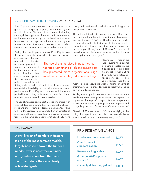#### PRIX FIXE SPOTLIGHT CASE: ROOT CAPITA**L**

Root Capital is a nonprofit social investment fund that grows rural prosperity in poor, environmentally vulnerable places in Africa and Latin America by lending capital, delivering financial training and strengthening market connections for agricultural small and growing businesses. As an experienced lender in the agriculture sector, it has developed a prix fixe list of standard metrics deeply rooted in evidence and experience.

During the due diligence process, Root Capital uses the same four metrics for all of its potential borrow-

ronmental vulnerability, and social and environmental performance. Root Capital compares each loan's expected impact rating to its expected financial risk and

The use of standardized impact metrics integrated with financial data has promoted more organizational alignment and more strategic decision-making. According to Mike McCreless, Root Capital's Senior Director of Strategy and Impact, "Everybody across our organization is on the same page about what specifically we're

return to determine which loans to offer.

ers: number of farmers reached, enterprise revenues, payment to farmers, and number of hectares under sustainable cultivation. They also score each potential borrower on a tenpoint Expected Impact Rating scale, based on 21 indicators of poverty, envi-

"The use of standardized impact metrics integrated with financial risk and return data has promoted more organizational alignment and more strategic decision-making."

trying to do in the world and what we're looking for in prospective borrowers."

This universal standardization was hard-won. Root Capital conducted studies with more than 30 businesses, interviewing over 3,000 smallholder farmers in order to determine which indicators would be most predictive of impact. "It took a long time to align on our Expected Impact Rating," says McCreless. "It came out of doing impact studies where the same handful of issues came up time and time again."

> McCreless recognizes that focusing their capital in a single sector makes it easier to go with a prix fixe model. "It wouldn't fit if we had a more heterogeneous portfolio." He also acknowledges that these

metrics do not capture the unique offerings of some of their investees, like those focused on local value chains or high-yield seed varieties.

Finally, Root Capital's prix fixe metrics are focused on predicting rather than proving businesses' impact. "It's a good tool for a specific purpose. But we complement it with impact studies, aggregated donor reports, and storytelling. It's part of a portfolio of things that we do."

Overall, McCreless reflects, "It's very satisfying to be using the impact data we collect to make decisions about loans in a very concrete way every day."

A prix fixe list of standard indicators is one of the most common models, largely because it favors the funder's needs. It works best when a funder and grantee come from the same sector and share the same clearly articulated goals.

# TAKEAWAY TAKEAWAY TAKEAWAY TAKEAWAY TAKEAWAY TAKEAT TARASAN TAKEAT AT TASA SA TAGLANCE

| <b>Funder resources needed</b>              | LOW         |
|---------------------------------------------|-------------|
| <b>Consistency &amp;</b><br>standardization | <b>HIGH</b> |
| Relevance to grantee                        | LOW         |
| <b>Grantee M&amp;E capacity</b><br>required | <b>LOW</b>  |
| <b>Capacity &amp; learning gained</b>       | MFD         |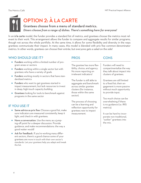# OPTION 2: À LA CARTE Grantees choose from a menu of standard metrics. *Diners choose from a range of dishes. There's something here for everyone!*

In an à la carte model, the funder provides a standard list of metrics, and grantees choose the metrics most relevant to their work. This arrangement allows the funder to compare and aggregate results for similar programs, though not across the whole portfolio. At the same time, it allows for some flexibility and diversity in the ways grantees communicate their impact. In many cases, this model is blended with prix fixe common-denominator metrics. In other words, grantees can choose their entrée, but everyone gets a salad on the side!

### WHO SHOULD USE IT?

- **Funders** working within a limited number of program areas or sectors
- **Funders** working within a single sector but with grantees who have a variety of goals
- **Funders** working mostly in sectors that have standardized metrics
- **•** Funders who want to get grantees started in impact measurement, but lack resources to invest in deep, high-touch capacity building
- **Grantees** looking for tools to benchmark against programs in the same sector

# IF YOU USE IT

- **Same advice as prix fixe:** Choose a good list, make sure indicators are measured consistently, keep it light, and check in with grantees.
- Have a conversation. Use the menu as a jumping-off point for a deeper discussion. Provide guidance, and make recommendations: the way a good waiter would!
- Ask for feedback. If you're working many different sectors, there's a good chance some of your grantees are more in touch with their own sector's standards. Let your grantees help you adapt and tweak the list.

The grantee has more flexibility, choice, and agency. No more reporting on irrelevant indicators!

The funder is still able to aggregate and benchmark across similar grantee clusters (for instance, those within the same sector).

The process of choosing can be a learning and reflection opportunity for grantees new to impact measurement.

## **CONS**

Funders will need to compartmentalize the way they talk about impact into clusters of grantees.

Grantees are still limited to a fixed list; their engagement is more passive without much opportunity to provide input.

Too much choice can be overwhelming if there is no guidance (i.e. IRIS metrics).

It can be hard to incorporate non-traditional, "outlier" grantees into the mix.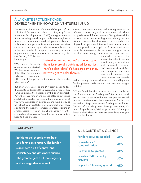## À LA CARTE SPOTLIGHT CASE: DEVELOPMENT INNOVATION VENTURES | USAID

Development Innovation Ventures (DIV), part of the U.S. Global Development Lab, is the US Agency for International Development's (USAID) open grant competition, providing tiered support to breakthrough solutions to the most intractable development challenges. In line with their philosophy of open innovation, their impact measurement approach also started broad. "It follows that we should be open to measuring what our organizations think is important to measure," says Sasha Gallant, DIV Portfolio Manager.

"We were incredibly open when we started. We had zero mandated KPIs [Key Performance Indicators]. It was – and

"Instead of something we're forcing upon them, it's more of a public good. It's not just 'here's a blank slate;' it's 'here are some lines, now you get to color them in.'"

still is – a philosophical choice around who decides what matters."

But after a few years, as the DIV team began to feel the need to understand their overarching impact, they came up against the limitation of this open approach. "Over time, as a funder, and instead of looking at things as distinct projects, you want to have a sense of what you have supported in aggregate and have a way to talk about your portfolio in a meaningful way." They also found the need to compare grantees working in similar sectors. "If we don't even have shared KPIs within a sector," she stresses, "then there's no way to do a head-to-head analysis."

Having spent years learning and building expertise in different sectors, they realized that they could share this guidance with future grantees. Today, they still determine custom metrics with grantees during the due diligence process, but they also ask for a standard set of prix fixe operational, financial, and impact indicators and provide a guiding list of à la carte indicators particular to the sector. For instance, their grantees in the alternative energy sector can now report on rec-

> ommended metrics like annual household carbon dioxide mitigation and annual household savings. DIV provides clear definitions, templates, and support to help grantees track these metrics consistently

and accurately. "You need to make it incredibly easy for the grantee. Wildly simple. Otherwise you just get bad data."

DIV has found that this technical assistance can be as transformative as the funding itself. For new or small organizations, a structured model can provide crucial guidance on the metrics that are standard for the sector and will help them attract funding in the future. "Instead of something we're forcing upon them, it's more of a public good," Gallant points out. "It's not just 'here's a blank slate;' it's 'here are some lines, now you get to color them in.'"

#### **TAKE AWAY**

In this model, there is more backand-forth conversation. The funder surrenders a bit of control and consistency and gets more nuance. The grantee gets a bit more agency and some guidance as well.

### À LA CARTE AT-A-GLANCE

| <b>Funder resources needed</b>              | <b>MED</b> |
|---------------------------------------------|------------|
| <b>Consistency &amp;</b><br>standardization | <b>MED</b> |
| <b>Relevance to grantee</b>                 | <b>MED</b> |
| <b>Grantee M&amp;E capacity</b><br>required | <b>LOW</b> |
| <b>Capacity &amp; learning gained</b>       | <b>MED</b> |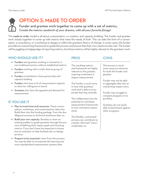

# OPTION 3: MADE TO ORDER

Funder and grantee work together to come up with a set of metrics. *Create the metrics sandwich of your dreams, with all your favorite fixings!*

The made to order model is all about customization, co-creation, and capacity building. The funder and grantee work closely together to come up with metrics that meet the needs of both. This can take the form of a conversation, a consultancy, or a workshop to design or refine the grantee's theory of change. In some cases, the funder provides an overarching framework to guide the process and ensure that their own needs are also met. The funder will be juggling a hodgepodge of reporting metrics, but those metrics will be highly relevant to the grantees' work.

## WHO SHOULD USE IT?

- **Funders** and grantees working in innovative or non-traditional sectors without established metrics
- **Funders** working with a small, diverse group of grantees
- **Funders** committed to close partnership and capacity building
- **Funders** who have a lot of measurement capacity to share (or willingness to learn)
- **Grantees** who have the appetite and demand for measurement

## IF YOU USE IT

- Plan to invest time and resources. These conversations, workshops, and customizations take time. Build them into the funding package from the due diligence process to technical assistance later on.
- **Build your own capacity.** Develop or draw on existing toolkits to guide grantees through the process of defining their impact goals and choosing metrics. If you don't have the expertise in-house, hire an evaluator to help facilitate the co-design process.
- **Prepare to be surprised.** Learn from the process. You may be able to incorporate the learning into more standardized measurement systems later.

# PROS

The resulting metrics and framework are highly relevant to the grantee, inspiring investment in impact measurement.

The funder is much more in tune with grantees' work and is able to incorporate learning centrally.

The collaboration has the potential to contribute measurement frameworks to new, innovative impact areas.

This flexible, customized process can contribute to a better-informed "menu" model later on.

### **CONS**

The process is much more resource-intensive for both the funder and grantee.

Funder may not be able to aggregate data into an overarching impact story.

Funder may struggle to compare programs in its portfolio.

Grantees are not easily able to benchmark against other programs.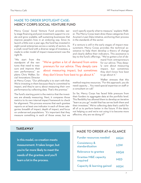### MADE TO ORDER SPOTLIGHT CASE: MERCY CORPS SOCIAL VENTURE FUND

Mercy Corps' Social Venture Fund provides early-stage financing and post-investment support to create and grow scalable, self-sustaining businesses that improve people's lives in an enduring way. Since its launch a little over a year ago, the fund has invested in eight social enterprises across a variety of sectors. As a small, novel fund with a diverse range of investees, a made to order model of impact measurement was the right fit.

won't specify exactly what to measure," explains Walker. The Mercy Corps team drew these categories from Acumen's Lean Data initiative, anchoring their process in the standards of the sector.

If a venture is still in the early stages of impact measurement, Mercy Corps provides the technical assistance to help them develop a theory of change and clearly define their indicators. This assistance is key to the fund's offerings. "We've gotten a lot of de-

"We start from the standpoint of the ventures that need to measure and improve their own performance," explains Chris Walker, Social Innovations Director

"We've gotten a lot of demand from entrepreneurs for our advice. They deeply care about measuring impact, but sometimes they don't know how best to go about it."

at Mercy Corps. "Our philosophy is to start with that. We're investing in them because they're committed to impact, and they're savvy about measuring their own performance by collecting data. That's the premise."

The fund's starting point is the metrics that the investees are already measuring. Next, it compares those metrics to its own internal impact framework to check for alignment. This process ensures that each grantee reports on at least one indicator in each of three categories: breadth of impact, depth of impact, and focus on underserved populations. "It's important that they measure something in each of those areas, but we

mand from entrepreneurs for our advice. They deeply care about measuring impact, but sometimes they don't know how best to go about it."

Walker stresses that this

method requires resources. "For this approach, you do need capacity … You need special expertise on staff or a consultant on call."

So far, Mercy Corps has faced little pressure from their funders to aggregate data at the portfolio level. This flexibility has allowed them to develop an iterative "learn as you go" model that has serves both them and their investees." We're collecting data that's useful for all of us to perform better in the future. If the data's not helping us and we're not using it to become more effective, why are we doing it?"

### **TAKEAWAY**

In this model, co-creation meets measurement. It takes longer, but you're far more likely to meet the needs of the grantee, and you'll learn a lot in the process.

#### MADE TO ORDER AT-A-GLANCE

| <b>Funder resources needed</b>              | <b>HIGH</b> |
|---------------------------------------------|-------------|
| <b>Consistency &amp;</b><br>standardization | LOW         |
| Relevance to grantee                        | <b>HIGH</b> |
| <b>Grantee M&amp;E capacity</b><br>required | <b>MED</b>  |
| <b>Capacity &amp; learning gained</b>       | <b>HIGH</b> |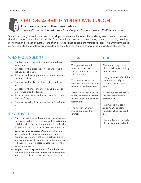

# OPTION 4: BRING YOUR OWN LUNCH

Grantees come with their own metrics. *Thanks, I'll pass on the restaurant fare. I've got a homemade meal that's much tastier.*

Sometimes, the grantee knows best. In a **bring your own lunch** model, the funder agrees to accept the metrics that the grantee has tracked historically. Grantees who are leaders in their sector, or who have highly developed monitoring and evaluation systems, are ofen best positioned to drive the metrics decision. This arrangement adds no new steps to the grantees' process, allowing them to direct funding toward programs instead of systems.

## WHO SHOULD USE IT?

- **Funders** new to the sector or seeking to learn from grantees
- **Grantees** with a clear theory of change and a defined set of metrics
- **Grantees** with strong monitoring and evaluation systems in place
- **Grantees** with a history of reporting on those metrics
- **Grantees** with more monitoring and evaluation experience than the funder
- **Grantees** who are more familiar with the sector than the funder
- **Grantees** working in an innovative, unique impact area

## IF YOU USE IT

- Plan to invest time and resources. These conversations, workshops, and customizations take time. Build them into the funding package from the due diligence process to technical assistance later on.
- **Build your own capacity.** Develop or draw on existing toolkits to guide grantees through the process of defining their impact goals and choosing metrics. If you don't have the expertise in-house, hire an evaluator to help facilitate the co-design process.
- **Prepare to be surprised.** Learn from the process. You may be able to incorporate the learning into more standardized measurement systems later.

| <b>PROS</b>                                                                                       | <b>CONS</b>                                                                               |
|---------------------------------------------------------------------------------------------------|-------------------------------------------------------------------------------------------|
| The grantee has full<br>freedom to report on the<br>impact metrics most rele-<br>vant to them.    | The funder may not be<br>able to tell an overarching<br>impact story.                     |
| The grantee avoids the<br>hassle of adapting systems<br>to an external framework.                 | It may be more difficult for<br>both funder and grantee<br>to compare and bench-<br>mark. |
| There is no burden on the<br>funder to create a custom<br>monitoring and evaluation<br>framework. | For the funder, the report-<br>ing process is much less<br>streamlined.                   |
| The funder can crowd-<br>source expertise from<br>grantees.                                       | This may be a missed<br>opportunity to gather<br>important, but excluded,<br>data.        |
|                                                                                                   | The grantee may not actu-<br>ally have a good system!                                     |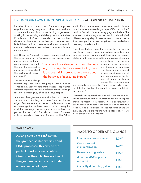#### BRING YOUR OWN LUNCH SPOTLIGHT CASE: AUTODESK FOUNDATION

Launched in 2014, the Autodesk Foundation supports organizations using design for positive social and environmental impact. As a young funding organization working in the evolving social design sector, Autodesk Foundation couldn't rely on standardized metrics; they didn't exist. Moreover, in its first year, the tiny team lacked the capacity to create its own impact framework, much less advise grantees on best practices in impact measurement.

Zoé Bezpalko, Autodesk's Design + Impact Lead, saw this as an opportunity. "Because of our design focus

and the variety of the organizations we work with, there is the potential to crowdsource ideas about the best way of measuring impact."

"Because of our design focus and the variety of the organizations we work with, there is the potential to crowdsource ideas about the best way of measuring impact."

The team took a design

thinking approach. What are people already doing? What do they need? Where are the gaps? "Tapping into different organizations having different angles to design is a very interesting way of doing it," says Bezpalko.

Autodesk's first grantees came with their own metrics, and the foundation began to draw from their knowledge. "Because we are such a new foundation and some of these organizations have been in the field doing this work for way longer, we recognize that they have expertise that we don't," Bezpalko explained. Grantees with particularly sophisticated frameworks, like D-Rev

and KickStart International, served as inspiration for Autodesk's own understanding of impact."On the flip side," cautions Bezpalko, "we cannot aggregate this data. She also warns that a bring your own lunch model will yield differences in quality of measurement across a portfolio: some organizations are doing it very well, and others have very limited capacity.

Now, the Autodesk Foundation is using these lessons to pilot its own impact framework, evolving toward a made to order model. This framework focuses on the impact of design, with metrics linked to effectiveness, efficiency,

> and scalability. They are also providing more guidance and training to grantees. They hope to move toward a more constrained set of prix fixe metrics in the future, but they are unlikely to replace the crowdsourcing

spirit entirely. Says Bezpalko, "I don't think I will ever get rid of the fact that I want our grantees to come with their own metrics."

Ultimately, this approach has allowed Autodesk Foundation to contribute to the conversation about how impact should be measured in design. "It's an opportunity to build our own or be part of the conversation toward how we should do it," says Bezpalko. "It's not static; things are evolving, and we are moving with it. Hopefully we are also a driver of how it's moving."

### **TAKEAWAY**

As long as you are confident in the grantees' sector expertise and M&E processes, this may be the perfect, most efficient solution. Over time, the collective wisdom of the grantees can inform the funder's understanding of impact.

#### MADE TO ORDER AT-A-GLANCE

| <b>Funder resources needed</b>              | LOW         |
|---------------------------------------------|-------------|
| <b>Consistency &amp;</b><br>standardization | <b>LOW</b>  |
| Relevance to grantee                        | <b>HIGH</b> |
| <b>Grantee M&amp;E capacity</b><br>required | <b>HIGH</b> |
| <b>Capacity &amp; learning gained</b>       | <b>HIGH</b> |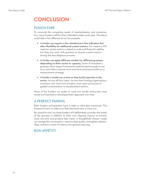# **CONCLUSION**

#### FUSION FARE

To reconcile the competing needs of standardization and customization, many funders will find that a blended model works best. This blend could take a few different forms; for example:

- A funder can require a few standard prix fixe indicators but allow flexibility for additional custom metrics. For instance, DIV requires certain metrics related to scale and financial viability, but they also work with grantees to choose custom metrics during the due diligence process.
- A funder can apply different models for different grantees, depending on their sector or capacity**.** Some of Autodesk's grantees have impact frameworks sophisticated enough to use as is, and others require more technical assistance build out a measurement strategy.
- A funder's model can evolve as they build expertise in the sector. Across all four cases, we saw that funding organizations transition over time from broader, more open processes to guided customization to standardized metrics.

None of the funders we spoke to used one model exclusively; most mixed and matched or developed their approach over time.

### A PERFECT PAIRING

Both funders and grantees have a stake in what gets measured. This framework aims to make sure that they both have a voice, too.

By using this tool, we hope funders will deliberately consider the needs of the grantee in addition to their own, aligning metrics to achieve more win-wins and produce less waste. A thoughtfully chosen model can change the conversation, improve data quality, strengthen relationships, and turn a mess of metrics into genuine learning.

# BON APPÉTIT!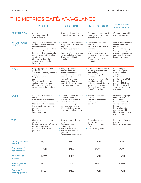# THE METRICS CAFÉ: AT-A-GLANCE

|                                             | <b>PRIX FIXE</b>                                                                                                                                                                                                                                                                                  | À LA CARTE                                                                                                                                                                                                          | <b>MADE TO ORDER</b>                                                                                                                                                                                                                                                            | <b>BRING YOUR</b><br><b>OWN LUNCH</b>                                                                                                                                                                                |
|---------------------------------------------|---------------------------------------------------------------------------------------------------------------------------------------------------------------------------------------------------------------------------------------------------------------------------------------------------|---------------------------------------------------------------------------------------------------------------------------------------------------------------------------------------------------------------------|---------------------------------------------------------------------------------------------------------------------------------------------------------------------------------------------------------------------------------------------------------------------------------|----------------------------------------------------------------------------------------------------------------------------------------------------------------------------------------------------------------------|
| <b>DESCRIPTION</b>                          | - All grantees report<br>on the same set of<br>standard metrics.                                                                                                                                                                                                                                  | - Grantees choose from a<br>menu of standard metrics.                                                                                                                                                               | - Funder and grantee work<br>together to come up with<br>a set of metrics.                                                                                                                                                                                                      | - Grantees come with<br>their own metrics.                                                                                                                                                                           |
| <b>WHO SHOULD</b><br>USE IT?                | - Single sector or impact goal<br>- Sector or impact goal has<br>standard metrics<br>- Funders focused on metrics<br>common to all sectors<br>- Funders with low capacity for<br>customization and technical<br>assistance<br>- Grantees without their<br>own metrics and looking to<br>benchmark | - Limited number of sectors<br>- Single sector but diversity<br>ot goals<br>- Sectors have standard<br>metrics<br>- Funders with some capac-<br>ity for technical assistance<br>- Grantees looking to<br>benchmark  | - New or non-traditional<br>sectors<br>- Small but diverse group<br>of grantees<br>- Focus on partnership<br>and capacity building<br>- Funder with strong M&E<br>capacity<br>- Grantees with M&E<br>demand                                                                     | - New or non-traditional<br>sector unfamiliar<br>to funder<br>- Grantee has strong<br>theory of change,<br>metrics, M&E systems<br>and record of report-<br>ing and evidence                                         |
| <b>PROS</b>                                 | - Easy aggregation across a<br>portfolio<br>Ability to compare grantee to<br>grantee<br>Simple, streamlined data<br>system<br>- Grantee can benchmark<br>against other programs<br>- Grantee gains experience in<br>measuring standard indicators                                                 | - Easy aggregation and<br>comparison within<br>grantee categories<br>- Grantee has flexibility to<br>choose most<br>relevant indicators<br>- Learning /reflection<br>opportunity for grantees<br>new to measurement | - Opportunity for capacity<br>building, collaboration,<br>and learning.<br>- Metrics highly relevant<br>to grantee<br>- Funder can incorporate<br>learning centrally<br>- Potential to contribute to<br>innovative impact areas<br>- Can lead to a better<br>"menu" model later | - Metrics highly<br>relevant to grantee<br>- Less hassle for<br>grantee<br>- Funder does not<br>need a custom M&E<br>framework or<br>dedicated M&E staff<br>- Funder can crowd-<br>source expertise from<br>grantees |
| <b>CONS</b>                                 | - One-size-fits-all metrics<br>miss nuance<br>- Metrics can have different<br>meanings in different contexts<br>- Metrics may feel imposed,<br>irrelevant, burdensome to<br>grantee<br>Low buy-in, resentment may<br>hinder data usage                                                            | - Need to compartmentalize<br>impact by cluster<br>- Input from grantees still<br>limited, passive<br>- Choice without guidance<br>can be overwhelming<br>- Difficult to incorporate<br>non-traditional grantees    | - Resource-intensive<br>process<br>- Difficult to aggregate,<br>compare, and<br>benchmark                                                                                                                                                                                       | - Difficult to aggregate,<br>compare, and<br>benchmark<br>- Less streamlined<br>reporting process for<br>funder<br>- Might miss out on<br>data not asked for<br>- Not all grantees have<br>a good system             |
| <b>TIPS</b>                                 | - Choose standard, vetted<br>metrics<br>- Ensure consistent definitions<br>- Keep the list short<br>- Ask for feedback from<br>grantees                                                                                                                                                           | - Choose standard, vetted<br>metrics<br>- Ensure consistent<br>definitions<br>- Keep the list short<br>- Ask for feedback from<br>grantees<br>- Make recommendations                                                | - Plan to invest time<br>and resources<br>- Develop a process<br>or toolkit<br>- Learn from grantees                                                                                                                                                                            | - Set expectations for<br>quality<br>- Learn from grantees                                                                                                                                                           |
| <b>Funder resources</b><br>needed           | <b>LOW</b>                                                                                                                                                                                                                                                                                        | <b>MED</b>                                                                                                                                                                                                          | <b>HIGH</b>                                                                                                                                                                                                                                                                     | <b>LOW</b>                                                                                                                                                                                                           |
| <b>Consistency &amp;</b><br>standardization | <b>HIGH</b>                                                                                                                                                                                                                                                                                       | <b>MED</b>                                                                                                                                                                                                          | <b>LOW</b>                                                                                                                                                                                                                                                                      | <b>LOW</b>                                                                                                                                                                                                           |
| Relevance to<br>grantee                     | <b>LOW</b>                                                                                                                                                                                                                                                                                        | <b>MED</b>                                                                                                                                                                                                          | <b>HIGH</b>                                                                                                                                                                                                                                                                     | <b>HIGH</b>                                                                                                                                                                                                          |
| <b>Grantee capacity</b><br>required         | <b>LOW</b>                                                                                                                                                                                                                                                                                        | <b>LOW</b>                                                                                                                                                                                                          | <b>MED</b>                                                                                                                                                                                                                                                                      | <b>HIGH</b>                                                                                                                                                                                                          |
| Capacity &<br>learning gained               | <b>MED</b>                                                                                                                                                                                                                                                                                        | <b>MED</b>                                                                                                                                                                                                          | <b>HIGH</b>                                                                                                                                                                                                                                                                     | <b>HIGH</b>                                                                                                                                                                                                          |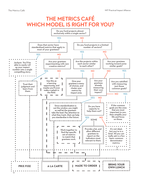# THE METRICS CAFÉ WHICH MODEL IS RIGHT FOR YOU?

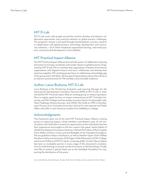#### MIT D-Lab

MIT D-Lab works with people around the world to develop and advance collaborative approaches and practical solutions to global poverty challenges. The program's mission is pursued through interdisciplinary courses, research in collaboration with global partners, technology development, and community initiatives — all of which emphasize experiential learning, real-world projects, community-led development, and scalability.

#### MIT Practical Impact Alliance

The MIT Practical Impact Alliance harvests the power of collaborative learning and action to increase, accelerate, and sustain impact on global poverty. Organized by MIT D-Lab, PIA is a membership organization of leaders from diverse organizations with aligned missions who learn, collaborate, and develop best practices together. PIA working groups focus on addressing a knowledge gap of the group and in the field, with the goal of generating outputs that will serve as relevant, practical tools for PIA members and a broader audience.

#### Author: Laura Budzyna, MIT D-Lab

Laura Budzyna is the Monitoring, Evaluation and Learning Manager for the International Development Innovation Network (IDIN) at MIT D-Lab. In 2016, she led the MIT Practical Impact Alliance working group on measuring impact. She is a regular guest lecturer on impact measurement at MIT, Columbia University, and Olin College and has spoken at events led by Unreasonable Labs, Mass Challenge, Boston+Acumen, and USAID. She holds an MPA in Development Practice from Columbia University's School for International and Public Affairs and a BA in Latin American studies from Middlebury College.

#### Acknowledgments

This framework grew out of the 2016 MIT Practical Impact Alliance working group on measuring impact, whose members contributed a year of rich conversations. We'd also like to extend our appreciation to the individuals who lent their experiences and insights to the four cases in this paper: Sasha Gallant of USAID Development Innovation Ventures, Michael McCreless of Root Capital, Chris Walker of Mercy Corps, and Zoé Bezpalko of the Autodesk Foundation. We are grateful to these contributors, as well as Heather Esper of the William Davidson Institute at University of Michigan, Molly Rubenstein of Olin College, and Lauren McKown of MIT D-Lab for reviewing drafs. D-Lab's Nancy Adams has been an invaluable partner in every stage of this document's evolution, from its initial framing, to several rounds of revisions, to the final design. Finally, we'd like to extend a special thank you to the Autodesk Foundation for supporting the distribution of this piece.

Icons: Andy Selimov, Dorian Dawance, Creative Stall, Vectors Market, and icon sphere, from Noun Project.